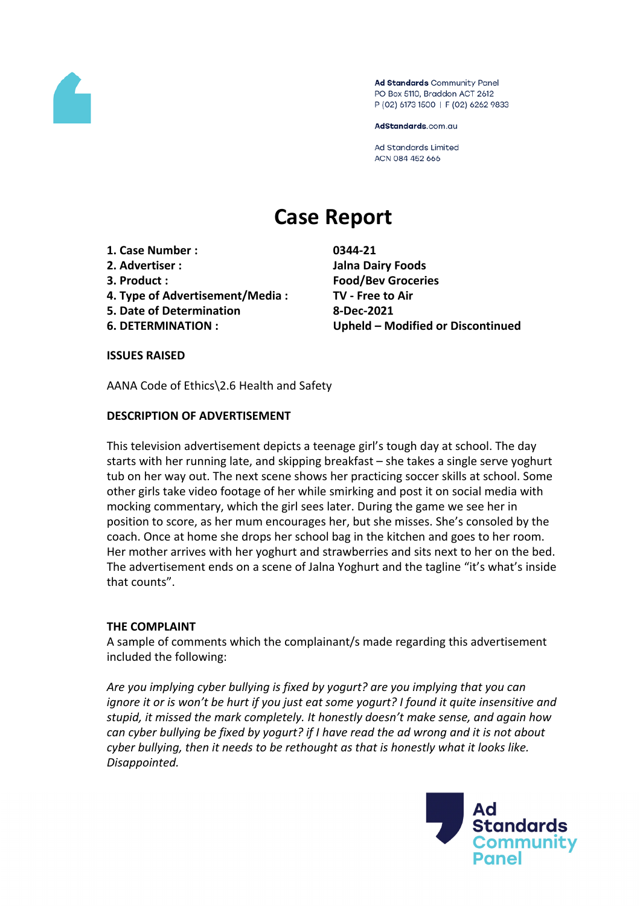

Ad Standards Community Panel PO Box 5110, Braddon ACT 2612 P (02) 6173 1500 | F (02) 6262 9833

AdStandards.com.au

**Ad Standards Limited** ACN 084 452 666

# **Case Report**

- **1. Case Number : 0344-21**
- 
- 
- **4. Type of Advertisement/Media : TV - Free to Air**
- **5. Date of Determination 8-Dec-2021**
- 

**2. Advertiser : Jalna Dairy Foods 3. Product : Food/Bev Groceries 6. DETERMINATION : Upheld – Modified or Discontinued**

**ISSUES RAISED**

AANA Code of Ethics\2.6 Health and Safety

## **DESCRIPTION OF ADVERTISEMENT**

This television advertisement depicts a teenage girl's tough day at school. The day starts with her running late, and skipping breakfast – she takes a single serve yoghurt tub on her way out. The next scene shows her practicing soccer skills at school. Some other girls take video footage of her while smirking and post it on social media with mocking commentary, which the girl sees later. During the game we see her in position to score, as her mum encourages her, but she misses. She's consoled by the coach. Once at home she drops her school bag in the kitchen and goes to her room. Her mother arrives with her yoghurt and strawberries and sits next to her on the bed. The advertisement ends on a scene of Jalna Yoghurt and the tagline "it's what's inside that counts".

#### **THE COMPLAINT**

A sample of comments which the complainant/s made regarding this advertisement included the following:

*Are you implying cyber bullying is fixed by yogurt? are you implying that you can ignore it or is won't be hurt if you just eat some yogurt? I found it quite insensitive and stupid, it missed the mark completely. It honestly doesn't make sense, and again how can cyber bullying be fixed by yogurt? if I have read the ad wrong and it is not about cyber bullying, then it needs to be rethought as that is honestly what it looks like. Disappointed.*

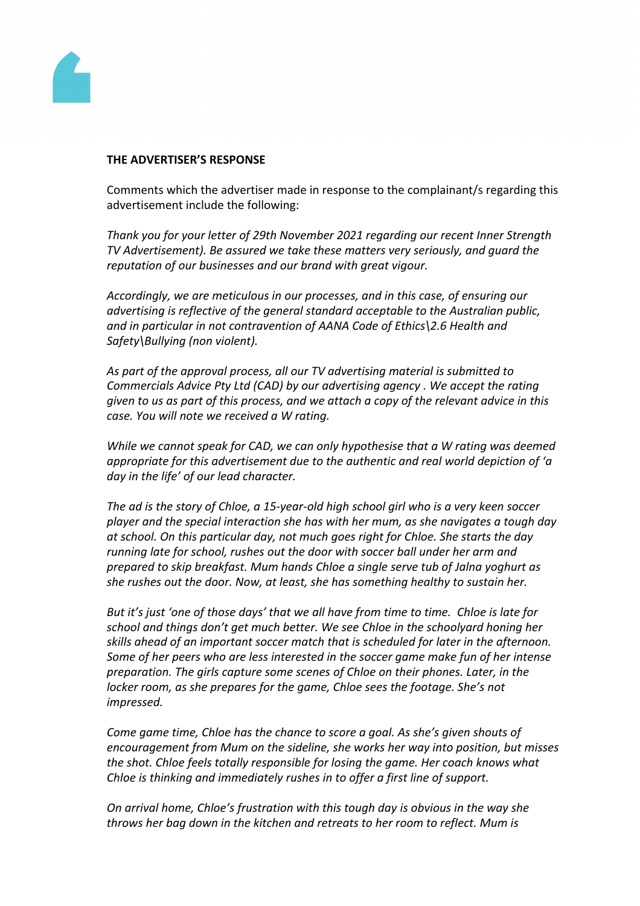

#### **THE ADVERTISER'S RESPONSE**

Comments which the advertiser made in response to the complainant/s regarding this advertisement include the following:

*Thank you for your letter of 29th November 2021 regarding our recent Inner Strength TV Advertisement). Be assured we take these matters very seriously, and guard the reputation of our businesses and our brand with great vigour.*

*Accordingly, we are meticulous in our processes, and in this case, of ensuring our advertising is reflective of the general standard acceptable to the Australian public, and in particular in not contravention of AANA Code of Ethics\2.6 Health and Safety\Bullying (non violent).*

*As part of the approval process, all our TV advertising material is submitted to Commercials Advice Pty Ltd (CAD) by our advertising agency . We accept the rating given to us as part of this process, and we attach a copy of the relevant advice in this case. You will note we received a W rating.*

*While we cannot speak for CAD, we can only hypothesise that a W rating was deemed appropriate for this advertisement due to the authentic and real world depiction of 'a day in the life' of our lead character.*

*The ad is the story of Chloe, a 15-year-old high school girl who is a very keen soccer player and the special interaction she has with her mum, as she navigates a tough day at school. On this particular day, not much goes right for Chloe. She starts the day running late for school, rushes out the door with soccer ball under her arm and prepared to skip breakfast. Mum hands Chloe a single serve tub of Jalna yoghurt as she rushes out the door. Now, at least, she has something healthy to sustain her.*

*But it's just 'one of those days' that we all have from time to time. Chloe is late for school and things don't get much better. We see Chloe in the schoolyard honing her skills ahead of an important soccer match that is scheduled for later in the afternoon. Some of her peers who are less interested in the soccer game make fun of her intense preparation. The girls capture some scenes of Chloe on their phones. Later, in the locker room, as she prepares for the game, Chloe sees the footage. She's not impressed.*

*Come game time, Chloe has the chance to score a goal. As she's given shouts of encouragement from Mum on the sideline, she works her way into position, but misses the shot. Chloe feels totally responsible for losing the game. Her coach knows what Chloe is thinking and immediately rushes in to offer a first line of support.*

*On arrival home, Chloe's frustration with this tough day is obvious in the way she throws her bag down in the kitchen and retreats to her room to reflect. Mum is*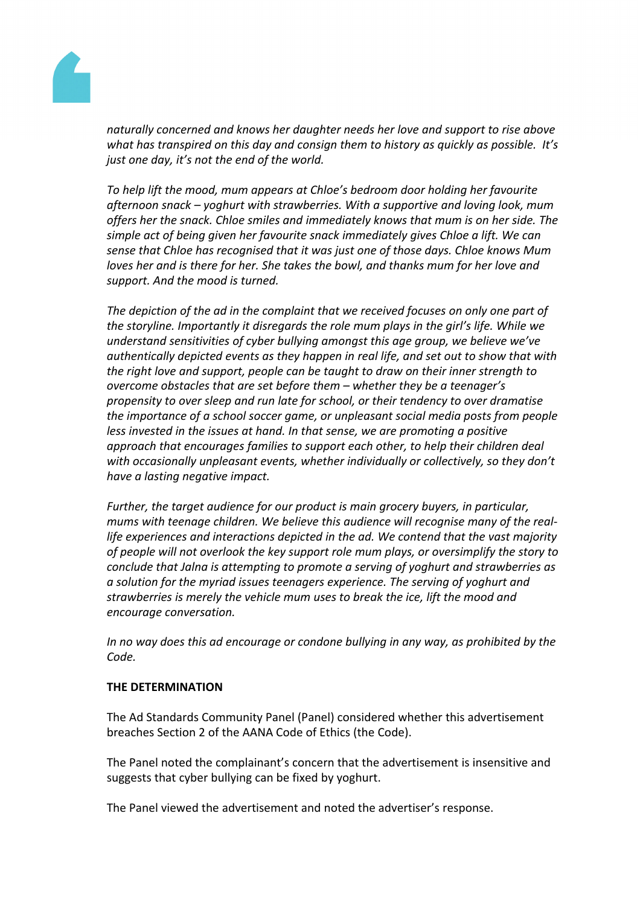

*naturally concerned and knows her daughter needs her love and support to rise above what has transpired on this day and consign them to history as quickly as possible. It's just one day, it's not the end of the world.*

*To help lift the mood, mum appears at Chloe's bedroom door holding her favourite afternoon snack – yoghurt with strawberries. With a supportive and loving look, mum offers her the snack. Chloe smiles and immediately knows that mum is on her side. The simple act of being given her favourite snack immediately gives Chloe a lift. We can sense that Chloe has recognised that it was just one of those days. Chloe knows Mum loves her and is there for her. She takes the bowl, and thanks mum for her love and support. And the mood is turned.*

*The depiction of the ad in the complaint that we received focuses on only one part of the storyline. Importantly it disregards the role mum plays in the girl's life. While we understand sensitivities of cyber bullying amongst this age group, we believe we've authentically depicted events as they happen in real life, and set out to show that with the right love and support, people can be taught to draw on their inner strength to overcome obstacles that are set before them – whether they be a teenager's propensity to over sleep and run late for school, or their tendency to over dramatise the importance of a school soccer game, or unpleasant social media posts from people less invested in the issues at hand. In that sense, we are promoting a positive approach that encourages families to support each other, to help their children deal with occasionally unpleasant events, whether individually or collectively, so they don't have a lasting negative impact.*

*Further, the target audience for our product is main grocery buyers, in particular, mums with teenage children. We believe this audience will recognise many of the reallife experiences and interactions depicted in the ad. We contend that the vast majority of people will not overlook the key support role mum plays, or oversimplify the story to conclude that Jalna is attempting to promote a serving of yoghurt and strawberries as a solution for the myriad issues teenagers experience. The serving of yoghurt and strawberries is merely the vehicle mum uses to break the ice, lift the mood and encourage conversation.*

*In no way does this ad encourage or condone bullying in any way, as prohibited by the Code.*

#### **THE DETERMINATION**

The Ad Standards Community Panel (Panel) considered whether this advertisement breaches Section 2 of the AANA Code of Ethics (the Code).

The Panel noted the complainant's concern that the advertisement is insensitive and suggests that cyber bullying can be fixed by yoghurt.

The Panel viewed the advertisement and noted the advertiser's response.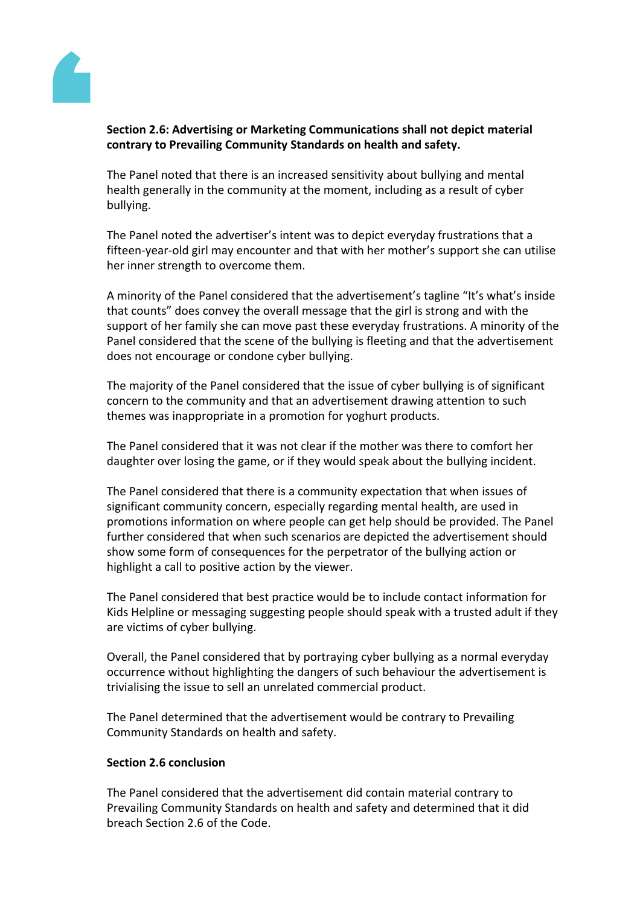

## **Section 2.6: Advertising or Marketing Communications shall not depict material contrary to Prevailing Community Standards on health and safety.**

The Panel noted that there is an increased sensitivity about bullying and mental health generally in the community at the moment, including as a result of cyber bullying.

The Panel noted the advertiser's intent was to depict everyday frustrations that a fifteen-year-old girl may encounter and that with her mother's support she can utilise her inner strength to overcome them.

A minority of the Panel considered that the advertisement's tagline "It's what's inside that counts" does convey the overall message that the girl is strong and with the support of her family she can move past these everyday frustrations. A minority of the Panel considered that the scene of the bullying is fleeting and that the advertisement does not encourage or condone cyber bullying.

The majority of the Panel considered that the issue of cyber bullying is of significant concern to the community and that an advertisement drawing attention to such themes was inappropriate in a promotion for yoghurt products.

The Panel considered that it was not clear if the mother was there to comfort her daughter over losing the game, or if they would speak about the bullying incident.

The Panel considered that there is a community expectation that when issues of significant community concern, especially regarding mental health, are used in promotions information on where people can get help should be provided. The Panel further considered that when such scenarios are depicted the advertisement should show some form of consequences for the perpetrator of the bullying action or highlight a call to positive action by the viewer.

The Panel considered that best practice would be to include contact information for Kids Helpline or messaging suggesting people should speak with a trusted adult if they are victims of cyber bullying.

Overall, the Panel considered that by portraying cyber bullying as a normal everyday occurrence without highlighting the dangers of such behaviour the advertisement is trivialising the issue to sell an unrelated commercial product.

The Panel determined that the advertisement would be contrary to Prevailing Community Standards on health and safety.

#### **Section 2.6 conclusion**

The Panel considered that the advertisement did contain material contrary to Prevailing Community Standards on health and safety and determined that it did breach Section 2.6 of the Code.